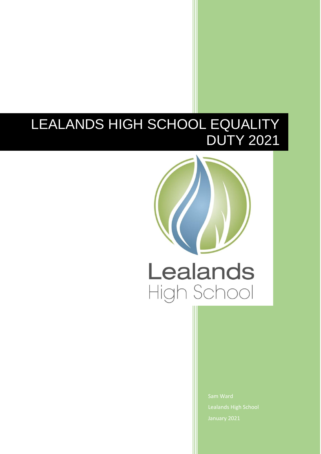# LEALANDS HIGH SCHOOL EQUALITY DUTY 2021



Lealands High School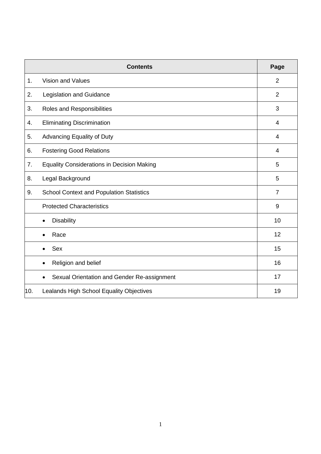|     | <b>Contents</b>                                          | Page           |  |  |
|-----|----------------------------------------------------------|----------------|--|--|
| 1.  | <b>Vision and Values</b>                                 | $\overline{2}$ |  |  |
| 2.  | Legislation and Guidance                                 | $\overline{2}$ |  |  |
| 3.  | Roles and Responsibilities                               | 3              |  |  |
| 4.  | <b>Eliminating Discrimination</b>                        | 4              |  |  |
| 5.  | Advancing Equality of Duty                               | $\overline{4}$ |  |  |
| 6.  | <b>Fostering Good Relations</b>                          |                |  |  |
| 7.  | <b>Equality Considerations in Decision Making</b>        |                |  |  |
| 8.  | Legal Background                                         |                |  |  |
| 9.  | <b>School Context and Population Statistics</b>          |                |  |  |
|     | <b>Protected Characteristics</b>                         | 9              |  |  |
|     | <b>Disability</b><br>$\bullet$                           | 10             |  |  |
|     | Race<br>$\bullet$                                        | 12             |  |  |
|     | Sex<br>$\bullet$                                         | 15             |  |  |
|     | Religion and belief<br>$\bullet$                         | 16             |  |  |
|     | Sexual Orientation and Gender Re-assignment<br>$\bullet$ | 17             |  |  |
| 10. | Lealands High School Equality Objectives                 | 19             |  |  |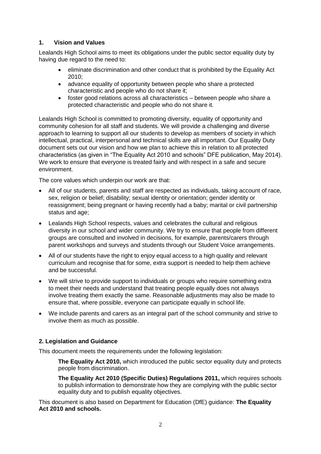#### **1. Vision and Values**

Lealands High School aims to meet its obligations under the public sector equality duty by having due regard to the need to:

- eliminate discrimination and other conduct that is prohibited by the Equality Act 2010;
- advance equality of opportunity between people who share a protected characteristic and people who do not share it;
- foster good relations across all characteristics between people who share a protected characteristic and people who do not share it.

Lealands High School is committed to promoting diversity, equality of opportunity and community cohesion for all staff and students. We will provide a challenging and diverse approach to learning to support all our students to develop as members of society in which intellectual, practical, interpersonal and technical skills are all important. Our Equality Duty document sets out our vision and how we plan to achieve this in relation to all protected characteristics (as given in "The Equality Act 2010 and schools" DFE publication, May 2014). We work to ensure that everyone is treated fairly and with respect in a safe and secure environment.

The core values which underpin our work are that:

- All of our students, parents and staff are respected as individuals, taking account of race, sex, religion or belief; disability; sexual identity or orientation; gender identity or reassignment; being pregnant or having recently had a baby; marital or civil partnership status and age;
- Lealands High School respects, values and celebrates the cultural and religious diversity in our school and wider community. We try to ensure that people from different groups are consulted and involved in decisions, for example, parents/carers through parent workshops and surveys and students through our Student Voice arrangements.
- All of our students have the right to enjoy equal access to a high quality and relevant curriculum and recognise that for some, extra support is needed to help them achieve and be successful.
- We will strive to provide support to individuals or groups who require something extra to meet their needs and understand that treating people equally does not always involve treating them exactly the same. Reasonable adjustments may also be made to ensure that, where possible, everyone can participate equally in school life.
- We include parents and carers as an integral part of the school community and strive to involve them as much as possible.

#### **2. Legislation and Guidance**

This document meets the requirements under the following legislation:

**[The Equality Act 2010,](http://www.legislation.gov.uk/ukpga/2010/15/contents)** which introduced the public sector equality duty and protects people from discrimination.

**[The Equality Act 2010 \(Specific Duties\) Regulations 2011,](http://www.legislation.gov.uk/uksi/2011/2260/contents/made)** which requires schools to publish information to demonstrate how they are complying with the public sector equality duty and to publish equality objectives.

This document is also based on Department for Education (DfE) guidance: **[The Equality](https://www.gov.uk/government/uploads/system/uploads/attachment_data/file/315587/Equality_Act_Advice_Final.pdf)  [Act 2010 and schools.](https://www.gov.uk/government/uploads/system/uploads/attachment_data/file/315587/Equality_Act_Advice_Final.pdf)**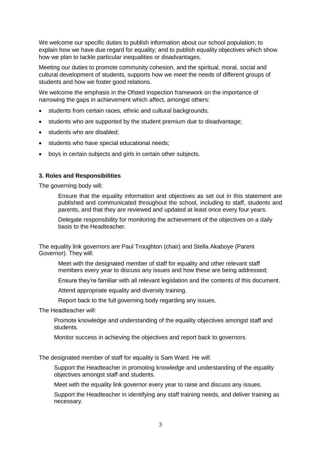We welcome our specific duties to publish information about our school population; to explain how we have due regard for equality; and to publish equality objectives which show how we plan to tackle particular inequalities or disadvantages.

Meeting our duties to promote community cohesion, and the spiritual, moral, social and cultural development of students, supports how we meet the needs of different groups of students and how we foster good relations.

We welcome the emphasis in the Ofsted inspection framework on the importance of narrowing the gaps in achievement which affect, amongst others:

- students from certain races, ethnic and cultural backgrounds;
- students who are supported by the student premium due to disadvantage;
- students who are disabled;
- students who have special educational needs;
- boys in certain subjects and girls in certain other subjects.

#### **3. Roles and Responsibilities**

The governing body will:

Ensure that the equality information and objectives as set out in this statement are published and communicated throughout the school, including to staff, students and parents, and that they are reviewed and updated at least once every four years.

Delegate responsibility for monitoring the achievement of the objectives on a daily basis to the Headteacher.

The equality link governors are Paul Troughton (chair) and Stella Akaboye (Parent Governor). They will:

Meet with the designated member of staff for equality and other relevant staff members every year to discuss any issues and how these are being addressed;

Ensure they're familiar with all relevant legislation and the contents of this document.

Attend appropriate equality and diversity training.

Report back to the full governing body regarding any issues.

The Headteacher will:

Promote knowledge and understanding of the equality objectives amongst staff and students.

Monitor success in achieving the objectives and report back to governors.

The designated member of staff for equality is Sam Ward. He will:

Support the Headteacher in promoting knowledge and understanding of the equality objectives amongst staff and students.

Meet with the equality link governor every year to raise and discuss any issues.

Support the Headteacher in identifying any staff training needs, and deliver training as necessary.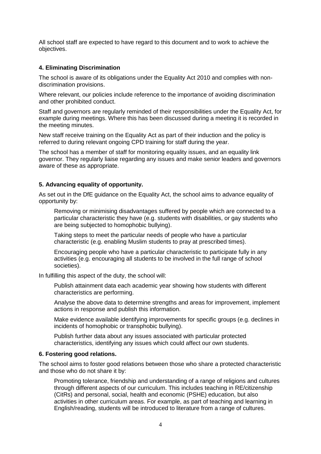All school staff are expected to have regard to this document and to work to achieve the objectives.

#### **4. Eliminating Discrimination**

The school is aware of its obligations under the Equality Act 2010 and complies with nondiscrimination provisions.

Where relevant, our policies include reference to the importance of avoiding discrimination and other prohibited conduct.

Staff and governors are regularly reminded of their responsibilities under the Equality Act, for example during meetings. Where this has been discussed during a meeting it is recorded in the meeting minutes.

New staff receive training on the Equality Act as part of their induction and the policy is referred to during relevant ongoing CPD training for staff during the year.

The school has a member of staff for monitoring equality issues, and an equality link governor. They regularly liaise regarding any issues and make senior leaders and governors aware of these as appropriate.

#### **5. Advancing equality of opportunity.**

As set out in the DfE guidance on the Equality Act, the school aims to advance equality of opportunity by:

Removing or minimising disadvantages suffered by people which are connected to a particular characteristic they have (e.g. students with disabilities, or gay students who are being subjected to homophobic bullying).

Taking steps to meet the particular needs of people who have a particular characteristic (e.g. enabling Muslim students to pray at prescribed times).

Encouraging people who have a particular characteristic to participate fully in any activities (e.g. encouraging all students to be involved in the full range of school societies).

In fulfilling this aspect of the duty, the school will:

Publish attainment data each academic year showing how students with different characteristics are performing.

Analyse the above data to determine strengths and areas for improvement, implement actions in response and publish this information.

Make evidence available identifying improvements for specific groups (e.g. declines in incidents of homophobic or transphobic bullying).

Publish further data about any issues associated with particular protected characteristics, identifying any issues which could affect our own students.

#### **6. Fostering good relations.**

The school aims to foster good relations between those who share a protected characteristic and those who do not share it by:

Promoting tolerance, friendship and understanding of a range of religions and cultures through different aspects of our curriculum. This includes teaching in RE/citizenship (CitRs) and personal, social, health and economic (PSHE) education, but also activities in other curriculum areas. For example, as part of teaching and learning in English/reading, students will be introduced to literature from a range of cultures.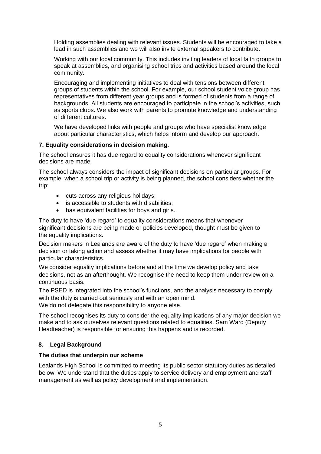Holding assemblies dealing with relevant issues. Students will be encouraged to take a lead in such assemblies and we will also invite external speakers to contribute.

Working with our local community. This includes inviting leaders of local faith groups to speak at assemblies, and organising school trips and activities based around the local community.

Encouraging and implementing initiatives to deal with tensions between different groups of students within the school. For example, our school student voice group has representatives from different year groups and is formed of students from a range of backgrounds. All students are encouraged to participate in the school's activities, such as sports clubs. We also work with parents to promote knowledge and understanding of different cultures.

We have developed links with people and groups who have specialist knowledge about particular characteristics, which helps inform and develop our approach.

#### **7. Equality considerations in decision making.**

The school ensures it has due regard to equality considerations whenever significant decisions are made.

The school always considers the impact of significant decisions on particular groups. For example, when a school trip or activity is being planned, the school considers whether the trip:

- cuts across any religious holidays;
- is accessible to students with disabilities:
- has equivalent facilities for boys and girls.

The duty to have 'due regard' to equality considerations means that whenever significant decisions are being made or policies developed, thought must be given to the equality implications.

Decision makers in Lealands are aware of the duty to have 'due regard' when making a decision or taking action and assess whether it may have implications for people with particular characteristics.

We consider equality implications before and at the time we develop policy and take decisions, not as an afterthought. We recognise the need to keep them under review on a continuous basis.

The PSED is integrated into the school's functions, and the analysis necessary to comply with the duty is carried out seriously and with an open mind. We do not delegate this responsibility to anyone else.

The school recognises its duty to consider the equality implications of any major decision we make and to ask ourselves relevant questions related to equalities. Sam Ward (Deputy Headteacher) is responsible for ensuring this happens and is recorded.

#### **8. Legal Background**

#### **The duties that underpin our scheme**

Lealands High School is committed to meeting its public sector statutory duties as detailed below. We understand that the duties apply to service delivery and employment and staff management as well as policy development and implementation.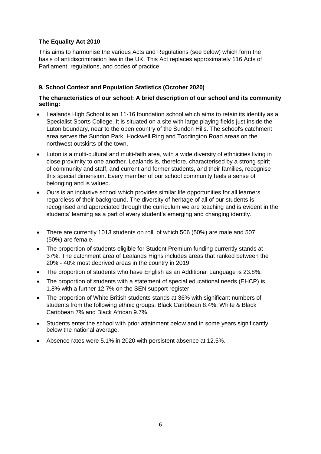## **The Equality Act 2010**

This aims to harmonise the various Acts and Regulations (see below) which form the basis of antidiscrimination law in the UK. This Act replaces approximately 116 Acts of Parliament, regulations, and codes of practice.

## **9. School Context and Population Statistics (October 2020)**

#### **The characteristics of our school: A brief description of our school and its community setting:**

- Lealands High School is an 11-16 foundation school which aims to retain its identity as a Specialist Sports College. It is situated on a site with large playing fields just inside the Luton boundary, near to the open country of the Sundon Hills. The school's catchment area serves the Sundon Park, Hockwell Ring and Toddington Road areas on the northwest outskirts of the town.
- Luton is a multi-cultural and multi-faith area, with a wide diversity of ethnicities living in close proximity to one another. Lealands is, therefore, characterised by a strong spirit of community and staff, and current and former students, and their families, recognise this special dimension. Every member of our school community feels a sense of belonging and is valued.
- Ours is an inclusive school which provides similar life opportunities for all learners regardless of their background. The diversity of heritage of all of our students is recognised and appreciated through the curriculum we are teaching and is evident in the students' learning as a part of every student's emerging and changing identity.
- There are currently 1013 students on roll, of which 506 (50%) are male and 507 (50%) are female.
- The proportion of students eligible for Student Premium funding currently stands at 37%. The catchment area of Lealands Highs includes areas that ranked between the 20% - 40% most deprived areas in the country in 2019.
- The proportion of students who have English as an Additional Language is 23.8%.
- The proportion of students with a statement of special educational needs (EHCP) is 1.8% with a further 12.7% on the SEN support register.
- The proportion of White British students stands at 36% with significant numbers of students from the following ethnic groups: Black Caribbean 8.4%; White & Black Caribbean 7% and Black African 9.7%.
- Students enter the school with prior attainment below and in some years significantly below the national average.
- Absence rates were 5.1% in 2020 with persistent absence at 12.5%.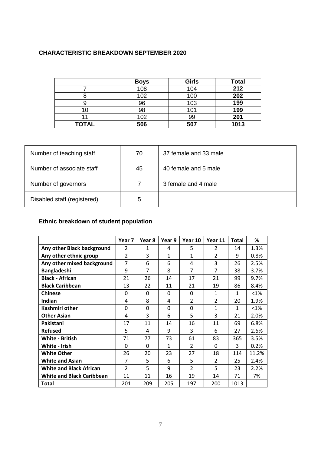# **CHARACTERISTIC BREAKDOWN SEPTEMBER 2020**

|              | <b>Boys</b> | <b>Girls</b> | <b>Total</b> |
|--------------|-------------|--------------|--------------|
|              | 108         | 104          | 212          |
|              | 102         | 100          | 202          |
|              | 96          | 103          | 199          |
|              | 98          | 101          | 199          |
|              | 102         | 99           | 201          |
| <b>TOTAL</b> | 506         | 507          | 1013         |

| Number of teaching staff    | 70 | 37 female and 33 male |
|-----------------------------|----|-----------------------|
| Number of associate staff   | 45 | 40 female and 5 male  |
| Number of governors         |    | 3 female and 4 male   |
| Disabled staff (registered) | 5  |                       |

# **Ethnic breakdown of student population**

|                                  | Year <sub>7</sub> | Year 8         | Year 9 | Year 10                  | Year 11                  | <b>Total</b> | %       |
|----------------------------------|-------------------|----------------|--------|--------------------------|--------------------------|--------------|---------|
| Any other Black background       | $\overline{2}$    | 1              | 4      | 5                        | $\overline{2}$           | 14           | 1.3%    |
| Any other ethnic group           | $\overline{2}$    | 3              | 1      | 1                        | $\overline{\mathcal{L}}$ | 9            | 0.8%    |
| Any other mixed background       | 7                 | 6              | 6      | 4                        | 3                        | 26           | 2.5%    |
| <b>Bangladeshi</b>               | 9                 | $\overline{7}$ | 8      | $\overline{7}$           | 7                        | 38           | 3.7%    |
| <b>Black - African</b>           | 21                | 26             | 14     | 17                       | 21                       | 99           | 9.7%    |
| <b>Black Caribbean</b>           | 13                | 22             | 11     | 21                       | 19                       | 86           | 8.4%    |
| <b>Chinese</b>                   | 0                 | 0              | 0      | 0                        | 1                        | $\mathbf{1}$ | $< 1\%$ |
| Indian                           | 4                 | 8              | 4      | $\overline{2}$           | $\overline{2}$           | 20           | 1.9%    |
| Kashmiri other                   | 0                 | $\Omega$       | 0      | 0                        | 1                        | $\mathbf{1}$ | $< 1\%$ |
| <b>Other Asian</b>               | 4                 | 3              | 6      | 5                        | 3                        | 21           | 2.0%    |
| Pakistani                        | 17                | 11             | 14     | 16                       | 11                       | 69           | 6.8%    |
| <b>Refused</b>                   | 5                 | 4              | 9      | 3                        | 6                        | 27           | 2.6%    |
| <b>White - British</b>           | 71                | 77             | 73     | 61                       | 83                       | 365          | 3.5%    |
| White - Irish                    | $\Omega$          | 0              | 1      | $\mathcal{P}$            | 0                        | 3            | 0.2%    |
| <b>White Other</b>               | 26                | 20             | 23     | 27                       | 18                       | 114          | 11.2%   |
| <b>White and Asian</b>           | 7                 | 5              | 6      | 5                        | $\mathcal{P}$            | 25           | 2.4%    |
| <b>White and Black African</b>   | $\mathcal{P}$     | 5              | 9      | $\overline{\phantom{a}}$ | 5                        | 23           | 2.2%    |
| <b>White and Black Caribbean</b> | 11                | 11             | 16     | 19                       | 14                       | 71           | 7%      |
| Total                            | 201               | 209            | 205    | 197                      | 200                      | 1013         |         |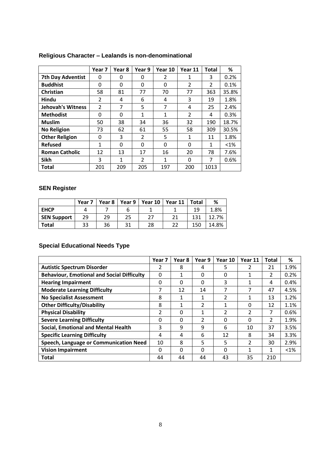|                          | Year 7         | Year 8   | Year 9         | Year 10        | Year 11        | <b>Total</b> | ℅       |
|--------------------------|----------------|----------|----------------|----------------|----------------|--------------|---------|
| <b>7th Day Adventist</b> | 0              | 0        | 0              | $\mathfrak{p}$ | 1              | 3            | 0.2%    |
| <b>Buddhist</b>          | 0              | 0        | 0              | 0              | $\overline{2}$ | 2            | 0.1%    |
| Christian                | 58             | 81       | 77             | 70             | 77             | 363          | 35.8%   |
| Hindu                    | $\mathcal{P}$  | 4        | 6              | 4              | 3              | 19           | 1.8%    |
| <b>Jehovah's Witness</b> | $\overline{2}$ | 7        | 5              | 7              | 4              | 25           | 2.4%    |
| <b>Methodist</b>         | 0              | 0        | $\mathbf{1}$   | 1              | $\overline{2}$ | 4            | 0.3%    |
| <b>Muslim</b>            | 50             | 38       | 34             | 36             | 32             | 190          | 18.7%   |
| <b>No Religion</b>       | 73             | 62       | 61             | 55             | 58             | 309          | 30.5%   |
| <b>Other Religion</b>    | 0              | 3        | $\overline{2}$ | 5              | 1              | 11           | 1.8%    |
| <b>Refused</b>           | 1              | $\Omega$ | 0              | $\Omega$       | 0              | 1            | $< 1\%$ |
| <b>Roman Catholic</b>    | 12             | 13       | 17             | 16             | 20             | 78           | 7.6%    |
| <b>Sikh</b>              | 3              | 1        | $\overline{2}$ | 1              | 0              | 7            | 0.6%    |
| <b>Total</b>             | 201            | 209      | 205            | 197            | 200            | 1013         |         |

# **Religious Character – Lealands is non-denominational**

# **SEN Register**

|                    | Year 7 | Year 8 | Year 9 | Year 10 | Year 11 | <b>Total</b> | %     |
|--------------------|--------|--------|--------|---------|---------|--------------|-------|
| <b>EHCP</b>        |        |        |        |         |         | 19           | 1.8%  |
| <b>SEN Support</b> | 29     | 29     |        | 27      | 21      | 131          | 12.7% |
| <b>Total</b>       | 33     | 36     |        | 28      | 22      | 150          | 14.8% |

# **Special Educational Needs Type**

|                                                   | Year 7         | Year 8   | Year 9 | Year 10 | Year 11        | <b>Total</b> | %       |
|---------------------------------------------------|----------------|----------|--------|---------|----------------|--------------|---------|
| <b>Autistic Spectrum Disorder</b>                 | 2              | 8        | 4      | 5       | 2              | 21           | 1.9%    |
| <b>Behaviour, Emotional and Social Difficulty</b> | 0              | 1        | 0      | 0       | 1              | 2            | 0.2%    |
| <b>Hearing Impairment</b>                         | 0              | 0        | 0      | 3       | 1              | 4            | 0.4%    |
| <b>Moderate Learning Difficulty</b>               | 7              | 12       | 14     | 7       | 7              | 47           | 4.5%    |
| <b>No Specialist Assessment</b>                   | 8              | 1        | 1      | 2       | 1              | 13           | 1.2%    |
| <b>Other Difficulty/Disability</b>                | 8              | 1        | 2      | 4       | 0              | 12           | 1.1%    |
| <b>Physical Disability</b>                        | $\overline{2}$ | $\Omega$ | 1      | 2       | $\overline{2}$ | 7            | 0.6%    |
| <b>Severe Learning Difficulty</b>                 | 0              | 0        | 2      | 0       | 0              | 2            | 1.9%    |
| <b>Social, Emotional and Mental Health</b>        | 3              | 9        | 9      | 6       | 10             | 37           | 3.5%    |
| <b>Specific Learning Difficulty</b>               | 4              | 4        | 6      | 12      | 8              | 34           | 3.3%    |
| Speech, Language or Communication Need            | 10             | 8        | 5      | 5       | $\overline{2}$ | 30           | 2.9%    |
| <b>Vision Impairment</b>                          | 0              | $\Omega$ | 0      | 0       | 1              | 1            | $< 1\%$ |
| Total                                             | 44             | 44       | 44     | 43      | 35             | 210          |         |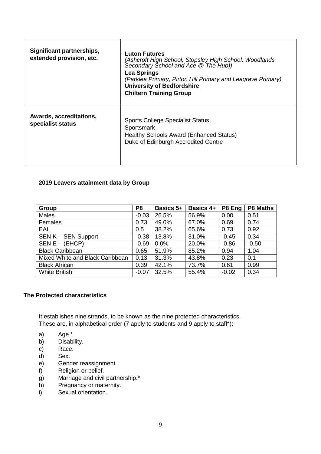| Significant partnerships,<br>extended provision, etc. | <b>Luton Futures</b><br>(Ashcroft High School, Stopsley High School, Woodlands<br>Secondary School and Ace @ The Hub))<br><b>Lea Springs</b><br>(Parklea Primary, Pirton Hill Primary and Leagrave Primary)<br><b>University of Bedfordshire</b><br><b>Chiltern Training Group</b> |
|-------------------------------------------------------|------------------------------------------------------------------------------------------------------------------------------------------------------------------------------------------------------------------------------------------------------------------------------------|
| Awards, accreditations,<br>specialist status          | <b>Sports College Specialist Status</b><br>Sportsmark<br>Healthy Schools Award (Enhanced Status)<br>Duke of Edinburgh Accredited Centre                                                                                                                                            |

#### **2019 Leavers attainment data by Group**

| Group                           | P <sub>8</sub> | <b>Basics 5+</b> | <b>Basics 4+</b> | P8 Eng  | <b>P8 Maths</b> |
|---------------------------------|----------------|------------------|------------------|---------|-----------------|
| <b>Males</b>                    | $-0.03$        | 26.5%            | 56.9%            | 0.00    | 0.51            |
| Females                         | 0.73           | 49.0%            | 67.0%            | 0.69    | 0.74            |
| <b>EAL</b>                      | 0.5            | 38.2%            | 65.6%            | 0.73    | 0.92            |
| SEN K - SEN Support             | $-0.38$        | 13.8%            | 31.0%            | $-0.45$ | 0.34            |
| SEN E - (EHCP)                  | $-0.69$        | 0.0%             | 20.0%            | $-0.86$ | $-0.50$         |
| <b>Black Caribbean</b>          | 0.65           | 51.9%            | 85.2%            | 0.94    | 1.04            |
| Mixed White and Black Caribbean | 0.13           | 31.3%            | 43.8%            | 0.23    | 0.1             |
| <b>Black African</b>            | 0.39           | 42.1%            | 73.7%            | 0.61    | 0.99            |
| <b>White British</b>            | $-0.07$        | 32.5%            | 55.4%            | $-0.02$ | 0.34            |

#### **The Protected characteristics**

It establishes nine strands, to be known as the nine protected characteristics. These are, in alphabetical order (7 apply to students and 9 apply to staff\*):

- a) Age.\*
- b) Disability.
- c) Race.
- d) Sex.
- e) Gender reassignment.
- f) Religion or belief.
- g) Marriage and civil partnership.\*
- h) Pregnancy or maternity.
- i) Sexual orientation.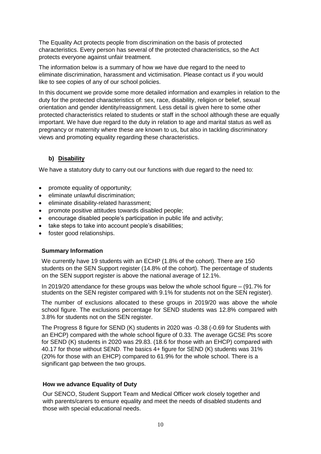The Equality Act protects people from discrimination on the basis of protected characteristics. Every person has several of the protected characteristics, so the Act protects everyone against unfair treatment.

The information below is a summary of how we have due regard to the need to eliminate discrimination, harassment and victimisation. Please contact us if you would like to see copies of any of our school policies.

In this document we provide some more detailed information and examples in relation to the duty for the protected characteristics of: sex, race, disability, religion or belief, sexual orientation and gender identity/reassignment. Less detail is given here to some other protected characteristics related to students or staff in the school although these are equally important. We have due regard to the duty in relation to age and marital status as well as pregnancy or maternity where these are known to us, but also in tackling discriminatory views and promoting equality regarding these characteristics.

# **b) Disability**

We have a statutory duty to carry out our functions with due regard to the need to:

- promote equality of opportunity;
- eliminate unlawful discrimination;
- **•** eliminate disability-related harassment:
- promote positive attitudes towards disabled people;
- encourage disabled people's participation in public life and activity;
- take steps to take into account people's disabilities;
- foster good relationships.

#### **Summary Information**

We currently have 19 students with an ECHP (1.8% of the cohort). There are 150 students on the SEN Support register (14.8% of the cohort). The percentage of students on the SEN support register is above the national average of 12.1%.

In 2019/20 attendance for these groups was below the whole school figure – (91.7% for students on the SEN register compared with 9.1% for students not on the SEN register).

The number of exclusions allocated to these groups in 2019/20 was above the whole school figure. The exclusions percentage for SEND students was 12.8% compared with 3.8% for students not on the SEN register.

The Progress 8 figure for SEND (K) students in 2020 was -0.38 (-0.69 for Students with an EHCP) compared with the whole school figure of 0.33. The average GCSE Pts score for SEND (K) students in 2020 was 29.83. (18.6 for those with an EHCP) compared with 40.17 for those without SEND. The basics 4+ figure for SEND (K) students was 31% (20% for those with an EHCP) compared to 61.9% for the whole school. There is a significant gap between the two groups.

## **How we advance Equality of Duty**

Our SENCO, Student Support Team and Medical Officer work closely together and with parents/carers to ensure equality and meet the needs of disabled students and those with special educational needs.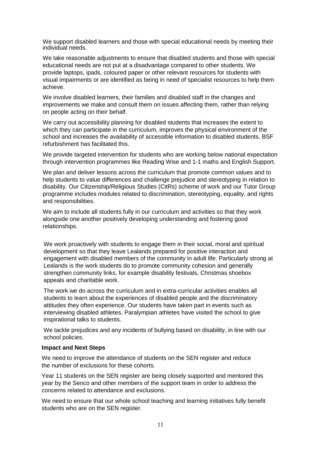We support disabled learners and those with special educational needs by meeting their individual needs.

We take reasonable adjustments to ensure that disabled students and those with special educational needs are not put at a disadvantage compared to other students. We provide laptops, ipads, coloured paper or other relevant resources for students with visual impairments or are identified as being in need of specialist resources to help them achieve.

We involve disabled learners, their families and disabled staff in the changes and improvements we make and consult them on issues affecting them, rather than relying on people acting on their behalf.

We carry out accessibility planning for disabled students that increases the extent to which they can participate in the curriculum, improves the physical environment of the school and increases the availability of accessible information to disabled students. BSF refurbishment has facilitated this.

We provide targeted intervention for students who are working below national expectation through intervention programmes like Reading Wise and 1-1 maths and English Support.

We plan and deliver lessons across the curriculum that promote common values and to help students to value differences and challenge prejudice and stereotyping in relation to disability. Our Citizenship/Religious Studies (CitRs) scheme of work and our Tutor Group programme includes modules related to discrimination, stereotyping, equality, and rights and responsibilities.

We aim to include all students fully in our curriculum and activities so that they work alongside one another positively developing understanding and fostering good relationships.

We work proactively with students to engage them in their social, moral and spiritual development so that they leave Lealands prepared for positive interaction and engagement with disabled members of the community in adult life. Particularly strong at Lealands is the work students do to promote community cohesion and generally strengthen community links, for example disability festivals, Christmas shoebox appeals and charitable work.

The work we do across the curriculum and in extra-curricular activities enables all students to learn about the experiences of disabled people and the discriminatory attitudes they often experience. Our students have taken part in events such as interviewing disabled athletes. Paralympian athletes have visited the school to give inspirational talks to students.

We tackle prejudices and any incidents of bullying based on disability, in line with our school policies.

#### **Impact and Next Steps**

We need to improve the attendance of students on the SEN register and reduce the number of exclusions for these cohorts.

Year 11 students on the SEN register are being closely supported and mentored this year by the Senco and other members of the support team in order to address the concerns related to attendance and exclusions.

We need to ensure that our whole school teaching and learning initiatives fully benefit students who are on the SEN register.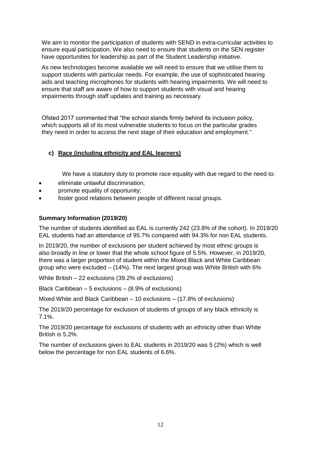We aim to monitor the participation of students with SEND in extra-curricular activities to ensure equal participation. We also need to ensure that students on the SEN register have opportunities for leadership as part of the Student Leadership initiative.

As new technologies become available we will need to ensure that we utilise them to support students with particular needs. For example, the use of sophisticated hearing aids and teaching microphones for students with hearing impairments. We will need to ensure that staff are aware of how to support students with visual and hearing impairments through staff updates and training as necessary.

Ofsted 2017 commented that "the school stands firmly behind its inclusion policy, which supports all of its most vulnerable students to focus on the particular grades they need in order to access the next stage of their education and employment."

# **c) Race (including ethnicity and EAL learners)**

We have a statutory duty to promote race equality with due regard to the need to:

- eliminate unlawful discrimination;
- promote equality of opportunity;
- foster good relations between people of different racial groups.

#### **Summary Information (2019/20)**

The number of students identified as EAL is currently 242 (23.8% of the cohort). In 2019/20 EAL students had an attendance of 95.7% compared with 94.3% for non EAL students.

In 2019/20, the number of exclusions per student achieved by most ethnic groups is also broadly in line or lower that the whole school figure of 5.5%. However, in 2019/20, there was a larger proportion of student within the Mixed Black and White Caribbean group who were excluded – (14%). The next largest group was White British with 6%

White British – 22 exclusions (39.2% of exclusions)

Black Caribbean – 5 exclusions – (8.9% of exclusions)

Mixed White and Black Caribbean – 10 exclusions – (17.8% of exclusions)

The 2019/20 percentage for exclusion of students of groups of any black ethnicity is 7.1%.

The 2019/20 percentage for exclusions of students with an ethnicity other than White British is 5.2%.

The number of exclusions given to EAL students in 2019/20 was 5 (2%) which is well below the percentage for non EAL students of 6.6%.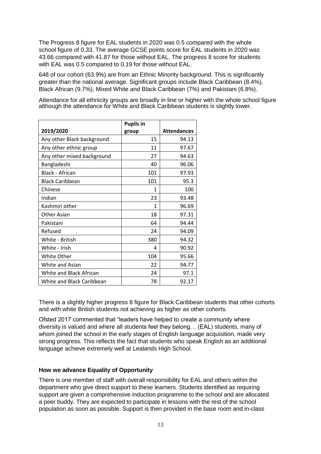The Progress 8 figure for EAL students in 2020 was 0.5 compared with the whole school figure of 0.33. The average GCSE points score for EAL students in 2020 was 43.66 compared with 41.87 for those without EAL. The progress 8 score for students with EAL was 0.5 compared to 0.19 for those without EAL.

648 of our cohort (63.9%) are from an Ethnic Minority background. This is significantly greater than the national average. Significant groups include Black Caribbean (8.4%), Black African (9.7%), Mixed White and Black Caribbean (7%) and Pakistani (6.8%).

Attendance for all ethnicity groups are broadly in line or higher with the whole school figure although the attendance for White and Black Caribbean students is slightly lower.

|                            | <b>Pupils in</b> |                    |
|----------------------------|------------------|--------------------|
| 2019/2020                  | group            | <b>Attendances</b> |
| Any other Black background | 15               | 94.13              |
| Any other ethnic group     | 11               | 97.67              |
| Any other mixed background | 27               | 94.63              |
| Bangladeshi                | 40               | 96.06              |
| Black - African            | 101              | 97.93              |
| <b>Black Caribbean</b>     | 101              | 95.3               |
| Chinese                    | 1                | 100                |
| Indian                     | 23               | 93.48              |
| Kashmiri other             | 1                | 96.69              |
| Other Asian                | 18               | 97.31              |
| Pakistani                  | 64               | 94.44              |
| Refused                    | 24               | 94.09              |
| White - British            | 380              | 94.32              |
| White - Irish              | 4                | 90.92              |
| White Other                | 104              | 95.66              |
| White and Asian            | 22               | 94.77              |
| White and Black African    | 24               | 97.1               |
| White and Black Caribbean  | 78               | 92.17              |

There is a slightly higher progress 8 figure for Black Caribbean students that other cohorts and with white British students not achieving as higher as other cohorts.

Ofsted 2017 commented that "leaders have helped to create a community where diversity is valued and where all students feel they belong… (EAL) students, many of whom joined the school in the early stages of English language acquisition, made very strong progress. This reflects the fact that students who speak English as an additional language achieve extremely well at Lealands High School.

#### **How we advance Equality of Opportunity**

There is one member of staff with overall responsibility for EAL and others within the department who give direct support to these learners. Students identified as requiring support are given a comprehensive induction programme to the school and are allocated a peer buddy. They are expected to participate in lessons with the rest of the school population as soon as possible. Support is then provided in the base room and in-class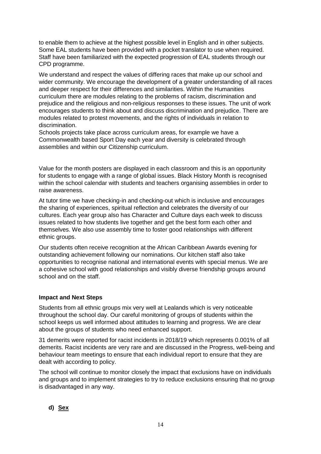to enable them to achieve at the highest possible level in English and in other subjects. Some EAL students have been provided with a pocket translator to use when required. Staff have been familiarized with the expected progression of EAL students through our CPD programme.

We understand and respect the values of differing races that make up our school and wider community. We encourage the development of a greater understanding of all races and deeper respect for their differences and similarities. Within the Humanities curriculum there are modules relating to the problems of racism, discrimination and prejudice and the religious and non-religious responses to these issues. The unit of work encourages students to think about and discuss discrimination and prejudice. There are modules related to protest movements, and the rights of individuals in relation to discrimination.

Schools projects take place across curriculum areas, for example we have a Commonwealth based Sport Day each year and diversity is celebrated through assemblies and within our Citizenship curriculum.

Value for the month posters are displayed in each classroom and this is an opportunity for students to engage with a range of global issues. Black History Month is recognised within the school calendar with students and teachers organising assemblies in order to raise awareness.

At tutor time we have checking-in and checking-out which is inclusive and encourages the sharing of experiences, spiritual reflection and celebrates the diversity of our cultures. Each year group also has Character and Culture days each week to discuss issues related to how students live together and get the best form each other and themselves. We also use assembly time to foster good relationships with different ethnic groups.

Our students often receive recognition at the African Caribbean Awards evening for outstanding achievement following our nominations. Our kitchen staff also take opportunities to recognise national and international events with special menus. We are a cohesive school with good relationships and visibly diverse friendship groups around school and on the staff.

#### **Impact and Next Steps**

Students from all ethnic groups mix very well at Lealands which is very noticeable throughout the school day. Our careful monitoring of groups of students within the school keeps us well informed about attitudes to learning and progress. We are clear about the groups of students who need enhanced support.

31 demerits were reported for racist incidents in 2018/19 which represents 0.001% of all demerits. Racist incidents are very rare and are discussed in the Progress, well-being and behaviour team meetings to ensure that each individual report to ensure that they are dealt with according to policy.

The school will continue to monitor closely the impact that exclusions have on individuals and groups and to implement strategies to try to reduce exclusions ensuring that no group is disadvantaged in any way.

## **d) Sex**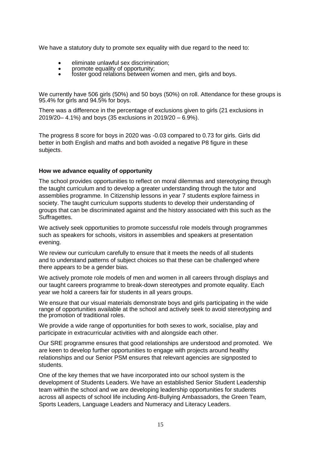We have a statutory duty to promote sex equality with due regard to the need to:

- eliminate unlawful sex discrimination;<br>• promote equality of opportunity:
- promote equality of opportunity;
- foster good relations between women and men, girls and boys.

We currently have 506 girls (50%) and 50 boys (50%) on roll. Attendance for these groups is 95.4% for girls and 94.5% for boys.

There was a difference in the percentage of exclusions given to girls (21 exclusions in 2019/20– 4.1%) and boys (35 exclusions in 2019/20 – 6.9%).

The progress 8 score for boys in 2020 was -0.03 compared to 0.73 for girls. Girls did better in both English and maths and both avoided a negative P8 figure in these subjects.

#### **How we advance equality of opportunity**

The school provides opportunities to reflect on moral dilemmas and stereotyping through the taught curriculum and to develop a greater understanding through the tutor and assemblies programme. In Citizenship lessons in year 7 students explore fairness in society. The taught curriculum supports students to develop their understanding of groups that can be discriminated against and the history associated with this such as the Suffragettes.

We actively seek opportunities to promote successful role models through programmes such as speakers for schools, visitors in assemblies and speakers at presentation evening.

We review our curriculum carefully to ensure that it meets the needs of all students and to understand patterns of subject choices so that these can be challenged where there appears to be a gender bias.

We actively promote role models of men and women in all careers through displays and our taught careers programme to break-down stereotypes and promote equality. Each year we hold a careers fair for students in all years groups.

We ensure that our visual materials demonstrate boys and girls participating in the wide range of opportunities available at the school and actively seek to avoid stereotyping and the promotion of traditional roles.

We provide a wide range of opportunities for both sexes to work, socialise, play and participate in extracurricular activities with and alongside each other.

Our SRE programme ensures that good relationships are understood and promoted. We are keen to develop further opportunities to engage with projects around healthy relationships and our Senior PSM ensures that relevant agencies are signposted to students.

One of the key themes that we have incorporated into our school system is the development of Students Leaders. We have an established Senior Student Leadership team within the school and we are developing leadership opportunities for students across all aspects of school life including Anti-Bullying Ambassadors, the Green Team, Sports Leaders, Language Leaders and Numeracy and Literacy Leaders.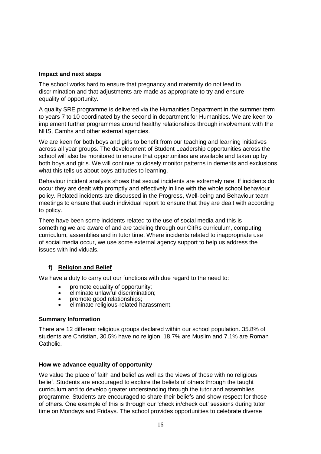#### **Impact and next steps**

The school works hard to ensure that pregnancy and maternity do not lead to discrimination and that adjustments are made as appropriate to try and ensure equality of opportunity.

A quality SRE programme is delivered via the Humanities Department in the summer term to years 7 to 10 coordinated by the second in department for Humanities. We are keen to implement further programmes around healthy relationships through involvement with the NHS, Camhs and other external agencies.

We are keen for both boys and girls to benefit from our teaching and learning initiatives across all year groups. The development of Student Leadership opportunities across the school will also be monitored to ensure that opportunities are available and taken up by both boys and girls. We will continue to closely monitor patterns in demerits and exclusions what this tells us about boys attitudes to learning.

Behaviour incident analysis shows that sexual incidents are extremely rare. If incidents do occur they are dealt with promptly and effectively in line with the whole school behaviour policy. Related incidents are discussed in the Progress, Well-being and Behaviour team meetings to ensure that each individual report to ensure that they are dealt with according to policy.

There have been some incidents related to the use of social media and this is something we are aware of and are tackling through our CitRs curriculum, computing curriculum, assemblies and in tutor time. Where incidents related to inappropriate use of social media occur, we use some external agency support to help us address the issues with individuals.

## **f) Religion and Belief**

We have a duty to carry out our functions with due regard to the need to:

- promote equality of opportunity;
- eliminate unlawful discrimination;
- promote good relationships;
- eliminate religious-related harassment.

#### **Summary Information**

There are 12 different religious groups declared within our school population. 35.8% of students are Christian, 30.5% have no religion, 18.7% are Muslim and 7.1% are Roman Catholic.

#### **How we advance equality of opportunity**

We value the place of faith and belief as well as the views of those with no religious belief. Students are encouraged to explore the beliefs of others through the taught curriculum and to develop greater understanding through the tutor and assemblies programme. Students are encouraged to share their beliefs and show respect for those of others. One example of this is through our 'check in/check out' sessions during tutor time on Mondays and Fridays. The school provides opportunities to celebrate diverse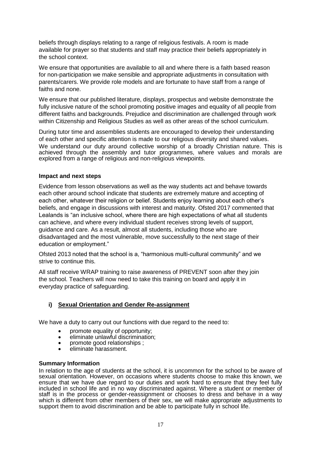beliefs through displays relating to a range of religious festivals. A room is made available for prayer so that students and staff may practice their beliefs appropriately in the school context.

We ensure that opportunities are available to all and where there is a faith based reason for non-participation we make sensible and appropriate adjustments in consultation with parents/carers. We provide role models and are fortunate to have staff from a range of faiths and none.

We ensure that our published literature, displays, prospectus and website demonstrate the fully inclusive nature of the school promoting positive images and equality of all people from different faiths and backgrounds. Prejudice and discrimination are challenged through work within Citizenship and Religious Studies as well as other areas of the school curriculum.

During tutor time and assemblies students are encouraged to develop their understanding of each other and specific attention is made to our religious diversity and shared values. We understand our duty around collective worship of a broadly Christian nature. This is achieved through the assembly and tutor programmes, where values and morals are explored from a range of religious and non-religious viewpoints.

#### **Impact and next steps**

Evidence from lesson observations as well as the way students act and behave towards each other around school indicate that students are extremely mature and accepting of each other, whatever their religion or belief. Students enjoy learning about each other's beliefs, and engage in discussions with interest and maturity. Ofsted 2017 commented that Lealands is "an inclusive school, where there are high expectations of what all students can achieve, and where every individual student receives strong levels of support, guidance and care. As a result, almost all students, including those who are disadvantaged and the most vulnerable, move successfully to the next stage of their education or employment."

Ofsted 2013 noted that the school is a, "harmonious multi-cultural community" and we strive to continue this.

All staff receive WRAP training to raise awareness of PREVENT soon after they join the school. Teachers will now need to take this training on board and apply it in everyday practice of safeguarding.

## **i) Sexual Orientation and Gender Re-assignment**

We have a duty to carry out our functions with due regard to the need to:

- promote equality of opportunity;
- eliminate unlawful discrimination;
- promote good relationships ;
- eliminate harassment.

#### **Summary Information**

In relation to the age of students at the school, it is uncommon for the school to be aware of sexual orientation. However, on occasions where students choose to make this known, we ensure that we have due regard to our duties and work hard to ensure that they feel fully included in school life and in no way discriminated against. Where a student or member of staff is in the process or gender-reassignment or chooses to dress and behave in a way which is different from other members of their sex, we will make appropriate adjustments to support them to avoid discrimination and be able to participate fully in school life.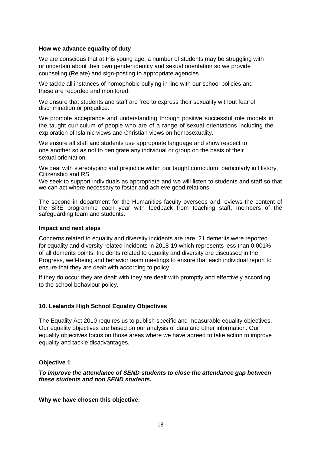#### **How we advance equality of duty**

We are conscious that at this young age, a number of students may be struggling with or uncertain about their own gender identity and sexual orientation so we provide counseling (Relate) and sign-posting to appropriate agencies.

We tackle all instances of homophobic bullying in line with our school policies and these are recorded and monitored.

We ensure that students and staff are free to express their sexuality without fear of discrimination or prejudice.

We promote acceptance and understanding through positive successful role models in the taught curriculum of people who are of a range of sexual orientations including the exploration of Islamic views and Christian views on homosexuality.

We ensure all staff and students use appropriate language and show respect to one another so as not to denigrate any individual or group on the basis of their sexual orientation.

We deal with stereotyping and prejudice within our taught curriculum; particularly in History, Citizenship and RS.

We seek to support individuals as appropriate and we will listen to students and staff so that we can act where necessary to foster and achieve good relations.

The second in department for the Humanities faculty oversees and reviews the content of the SRE programme each year with feedback from teaching staff, members of the safeguarding team and students.

#### **Impact and next steps**

Concerns related to equality and diversity incidents are rare. 21 demerits were reported for equality and diversity related incidents in 2018-19 which represents less than 0.001% of all demerits points. Incidents related to equality and diversity are discussed in the Progress, well-being and behavior team meetings to ensure that each individual report to ensure that they are dealt with according to policy.

If they do occur they are dealt with they are dealt with promptly and effectively according to the school behaviour policy.

#### **10. Lealands High School Equality Objectives**

The Equality Act 2010 requires us to publish specific and measurable equality objectives. Our equality objectives are based on our analysis of data and other information. Our equality objectives focus on those areas where we have agreed to take action to improve equality and tackle disadvantages.

#### **Objective 1**

#### *To improve the attendance of SEND students to close the attendance gap between these students and non SEND students.*

**Why we have chosen this objective:**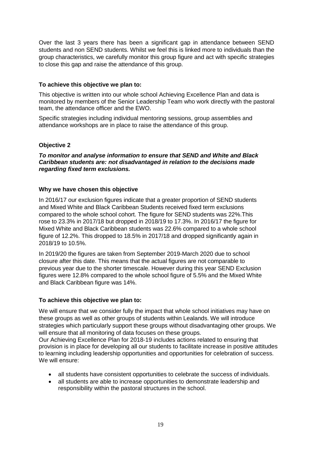Over the last 3 years there has been a significant gap in attendance between SEND students and non SEND students. Whilst we feel this is linked more to individuals than the group characteristics, we carefully monitor this group figure and act with specific strategies to close this gap and raise the attendance of this group.

#### **To achieve this objective we plan to:**

This objective is written into our whole school Achieving Excellence Plan and data is monitored by members of the Senior Leadership Team who work directly with the pastoral team, the attendance officer and the EWO.

Specific strategies including individual mentoring sessions, group assemblies and attendance workshops are in place to raise the attendance of this group.

#### **Objective 2**

*To monitor and analyse information to ensure that SEND and White and Black Caribbean students are: not disadvantaged in relation to the decisions made regarding fixed term exclusions.*

#### **Why we have chosen this objective**

In 2016/17 our exclusion figures indicate that a greater proportion of SEND students and Mixed White and Black Caribbean Students received fixed term exclusions compared to the whole school cohort. The figure for SEND students was 22%.This rose to 23.3% in 2017/18 but dropped in 2018/19 to 17.3%. In 2016/17 the figure for Mixed White and Black Caribbean students was 22.6% compared to a whole school figure of 12.2%. This dropped to 18.5% in 2017/18 and dropped significantly again in 2018/19 to 10.5%.

In 2019/20 the figures are taken from September 2019-March 2020 due to school closure after this date. This means that the actual figures are not comparable to previous year due to the shorter timescale. However during this year SEND Exclusion figures were 12.8% compared to the whole school figure of 5.5% and the Mixed White and Black Caribbean figure was 14%.

#### **To achieve this objective we plan to:**

We will ensure that we consider fully the impact that whole school initiatives may have on these groups as well as other groups of students within Lealands. We will introduce strategies which particularly support these groups without disadvantaging other groups. We will ensure that all monitoring of data focuses on these groups.

Our Achieving Excellence Plan for 2018-19 includes actions related to ensuring that provision is in place for developing all our students to facilitate increase in positive attitudes to learning including leadership opportunities and opportunities for celebration of success. We will ensure:

- all students have consistent opportunities to celebrate the success of individuals.
- all students are able to increase opportunities to demonstrate leadership and responsibility within the pastoral structures in the school.